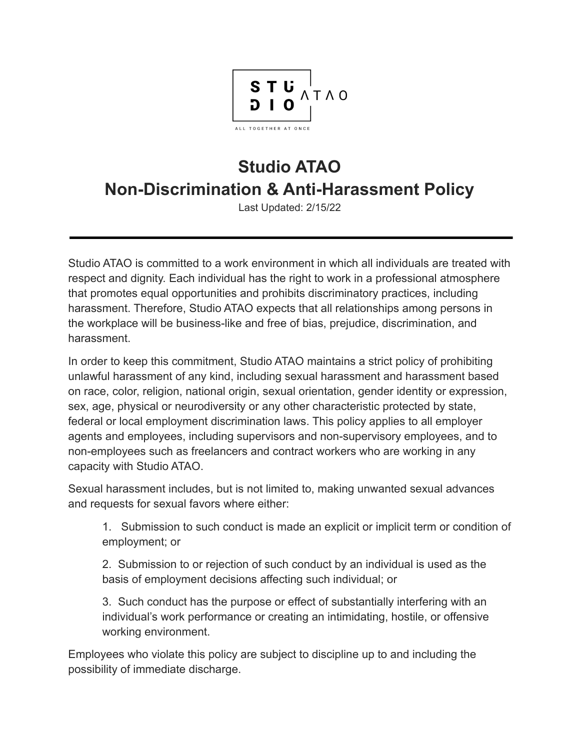

## **Studio ATAO Non-Discrimination & Anti-Harassment Policy**

Last Updated: 2/15/22

Studio ATAO is committed to a work environment in which all individuals are treated with respect and dignity. Each individual has the right to work in a professional atmosphere that promotes equal opportunities and prohibits discriminatory practices, including harassment. Therefore, Studio ATAO expects that all relationships among persons in the workplace will be business-like and free of bias, prejudice, discrimination, and harassment.

In order to keep this commitment, Studio ATAO maintains a strict policy of prohibiting unlawful harassment of any kind, including sexual harassment and harassment based on race, color, religion, national origin, sexual orientation, gender identity or expression, sex, age, physical or neurodiversity or any other characteristic protected by state, federal or local employment discrimination laws. This policy applies to all employer agents and employees, including supervisors and non-supervisory employees, and to non-employees such as freelancers and contract workers who are working in any capacity with Studio ATAO.

Sexual harassment includes, but is not limited to, making unwanted sexual advances and requests for sexual favors where either:

1. Submission to such conduct is made an explicit or implicit term or condition of employment; or

2. Submission to or rejection of such conduct by an individual is used as the basis of employment decisions affecting such individual; or

3. Such conduct has the purpose or effect of substantially interfering with an individual's work performance or creating an intimidating, hostile, or offensive working environment.

Employees who violate this policy are subject to discipline up to and including the possibility of immediate discharge.